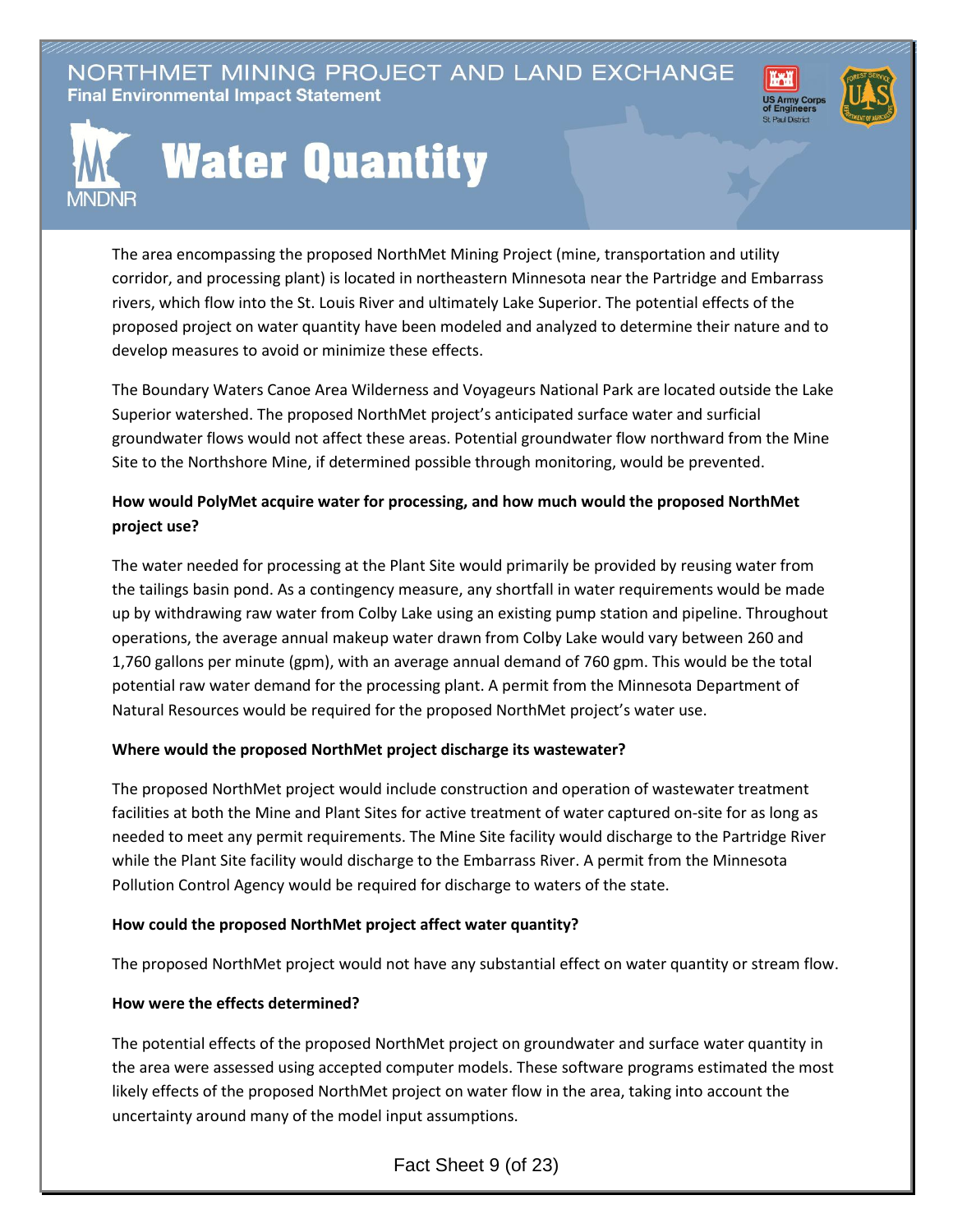NORTHMET MINING PROJECT AND LAND EXCHANGE **Final Environmental Impact Statement** 





# **Water Quantity**

The area encompassing the proposed NorthMet Mining Project (mine, transportation and utility corridor, and processing plant) is located in northeastern Minnesota near the Partridge and Embarrass rivers, which flow into the St. Louis River and ultimately Lake Superior. The potential effects of the proposed project on water quantity have been modeled and analyzed to determine their nature and to develop measures to avoid or minimize these effects.

The Boundary Waters Canoe Area Wilderness and Voyageurs National Park are located outside the Lake Superior watershed. The proposed NorthMet project's anticipated surface water and surficial groundwater flows would not affect these areas. Potential groundwater flow northward from the Mine Site to the Northshore Mine, if determined possible through monitoring, would be prevented.

# **How would PolyMet acquire water for processing, and how much would the proposed NorthMet project use?**

The water needed for processing at the Plant Site would primarily be provided by reusing water from the tailings basin pond. As a contingency measure, any shortfall in water requirements would be made up by withdrawing raw water from Colby Lake using an existing pump station and pipeline. Throughout operations, the average annual makeup water drawn from Colby Lake would vary between 260 and 1,760 gallons per minute (gpm), with an average annual demand of 760 gpm. This would be the total potential raw water demand for the processing plant. A permit from the Minnesota Department of Natural Resources would be required for the proposed NorthMet project's water use.

## **Where would the proposed NorthMet project discharge its wastewater?**

The proposed NorthMet project would include construction and operation of wastewater treatment facilities at both the Mine and Plant Sites for active treatment of water captured on-site for as long as needed to meet any permit requirements. The Mine Site facility would discharge to the Partridge River while the Plant Site facility would discharge to the Embarrass River. A permit from the Minnesota Pollution Control Agency would be required for discharge to waters of the state.

#### **How could the proposed NorthMet project affect water quantity?**

The proposed NorthMet project would not have any substantial effect on water quantity or stream flow.

## **How were the effects determined?**

The potential effects of the proposed NorthMet project on groundwater and surface water quantity in the area were assessed using accepted computer models. These software programs estimated the most likely effects of the proposed NorthMet project on water flow in the area, taking into account the uncertainty around many of the model input assumptions.